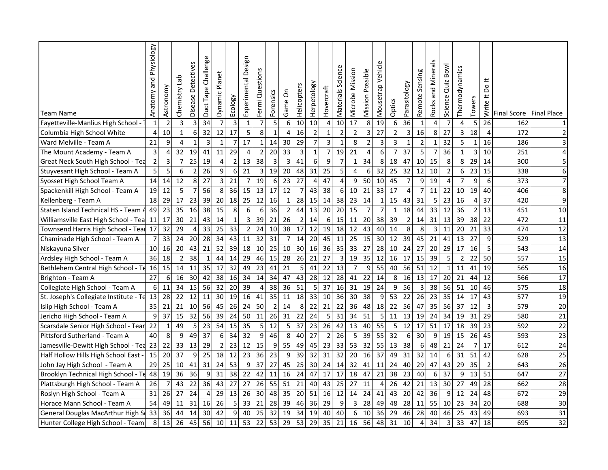|                                        | Physiology<br>and | Astronomy       | န္<br>Chemistry  | Detectives     | Challenge<br>Duct Tape | Planet         |                         | Design<br>Experimental | Fermi Questions |                  | δ               | Helicopters     | Herpetology    | Hovercraft     | Science<br>Materials    | Microbe Mission | Mission Possible        | ehid<br>><br>Mousetrap |                 | Parasitology    | Sensing          | S<br>Mineral<br>pue | Bowl<br>Quiz | Thermodynamics |                | ≝<br>δo<br>$\pm$ |                           |                |
|----------------------------------------|-------------------|-----------------|------------------|----------------|------------------------|----------------|-------------------------|------------------------|-----------------|------------------|-----------------|-----------------|----------------|----------------|-------------------------|-----------------|-------------------------|------------------------|-----------------|-----------------|------------------|---------------------|--------------|----------------|----------------|------------------|---------------------------|----------------|
| <b>Team Name</b>                       | Anatomy           |                 |                  | Disease        |                        | Dynamic        | Ecology                 |                        |                 | Forensics        | Game            |                 |                |                |                         |                 |                         |                        | Optics          |                 | Remote           | Rocks               | Science      |                | Towers         | Write            | Final Score   Final Place |                |
| Fayetteville-Manlius High School -     | $\mathbf{1}$      | $\overline{2}$  | 3                | 3              | 34                     | 7              | $\overline{\mathbf{3}}$ | $\mathbf{1}$           | $\overline{7}$  | 5                | $6 \mid$        | 10              | 10             | 4              | 10                      | 17              | 8                       | 19                     | $6\,$           | 36              | $\mathbf{1}$     | 4                   | 7            | 4              | 5              | 26               | 162                       | $1\vert$       |
| Columbia High School White             | 4                 | $10\,$          | $\mathbf{1}$     | 6              | 32                     | 12             | 17                      | 5                      | 8               | $\mathbf{1}$     | 4               | 16              | $\mathbf 2$    | $\mathbf{1}$   | $\overline{2}$          | $\overline{2}$  | $\overline{\mathbf{3}}$ | 27                     | $\mathbf 2$     | 3               | 16               | 8                   | 27           | 3              | 18             | $\overline{4}$   | 172                       | $\overline{2}$ |
| Ward Melville - Team A                 | 21                | 9               | 4                | $\mathbf{1}$   | 3                      | $\mathbf{1}$   | $\overline{7}$          | 17                     | $\mathbf{1}$    | 14               | 30              | 29              | $\overline{7}$ | $\overline{3}$ | $\mathbf{1}$            | 8               | $\overline{2}$          | $\overline{3}$         | 3               | $\mathbf{1}$    | $\overline{2}$   | $\mathbf{1}$        | 32           | 5              | $\mathbf{1}$   | 16               | 186                       | 3 <sup>1</sup> |
| The Mount Academy - Team A             | 3                 | $\overline{4}$  | 32               | 19             | 41                     | 11             | 29                      | $\overline{4}$         | $\overline{2}$  | 20               | 33              | 3               | $\mathbf{1}$   | 7              | 19                      | 21              | $\overline{4}$          | 6                      | $\overline{7}$  | 37              | 5                | 7                   | 36           | $\mathbf{1}$   | 3              | 10               | 251                       | $\overline{4}$ |
| Great Neck South High School - Tea     | $\mathbf 2$       | $\overline{3}$  | 7                | 25             | 19                     | $\overline{4}$ | $\overline{2}$          | 13                     | 38              | 3                | 3               | 41              | 6              | 9              | $\overline{7}$          | $\mathbf{1}$    | 34                      | 8                      | 18              | 47              | 10 <sup>1</sup>  | 15                  | 8            | 8              | 29             | 14               | 300                       | 5 <sub>l</sub> |
| Stuyvesant High School - Team A        | 5                 | $5\overline{)}$ | $\boldsymbol{6}$ | $\overline{2}$ | 26                     | 9              | 6                       | 21                     | 3               | 19               | 20              | 48              | 31             | 25             | 5                       | $\overline{4}$  | $6\phantom{1}6$         | 32                     | 25              | 32              | 12               | 10                  | $\mathbf 2$  | 6              | 23             | 15               | 338                       | $6 \mid$       |
| Syosset High School Team A             | 14                | 14              | 12               | 8              | 27                     | $\overline{3}$ | 21                      | $\overline{7}$         | 19              | $6 \mid$         | 23              | 27              | $\overline{4}$ | 47             | $\overline{4}$          | 9               | 50                      | 10                     | 45              | $\overline{7}$  | 9                | 19                  | 4            | $\overline{7}$ | 9              | 6                | 373                       | $\overline{7}$ |
| Spackenkill High School - Team A       | 19                | 12              | 5                | $\overline{7}$ | 56                     | 8              | 36                      | 15                     | 13              | 17               | 12              | 7               | 43             | 38             | 6                       | 10              | 21                      | 33                     | 17              | 4               | $\overline{7}$   | 11                  | 22           | 10             | 19             | 40               | 406                       | 8              |
| Kellenberg - Team A                    | 18                | 29              | 17               | 23             | 39                     | 20             | 18                      | 25                     | 12              | 16               | $\mathbf{1}$    | 28              | 15             | 14             | 38                      | 23              | 14                      | $\mathbf 1$            | 15              | 43              | 31               | 5                   | 23           | 16             | 4              | 37               | 420                       | $\overline{9}$ |
| Staten Island Technical HS - Team A    | 49                | 23              | 35               | 16             | 38                     | 15             | 8                       | $\boldsymbol{6}$       | 6               | 36               | $\overline{2}$  | 44              | 13             | 20             | 20                      | 15              | $\overline{7}$          | $\overline{7}$         | 1               | 18              | 44               | 33                  | 12           | 36             | $\overline{2}$ | 13               | 451                       | 10             |
| Williamsville East High School - Tea   | 11                | 17              | 30               | 21             | 43                     | 14             | $\mathbf{1}$            | 3                      | 39              | 21               | 26              | $\overline{2}$  | 14             | 6              | 15                      | 11              | 20                      | 38                     | 39              | $\overline{2}$  | 14               | 31                  | 13           | 39             | 38             | 22               | 472                       | 11             |
| Townsend Harris High School - Teal     | 17                | 32              | 29               | 4              | 33                     | 25             | 33                      | $\overline{2}$         | 24              | 10 <sup>1</sup>  | 38              | 17              | 12             | 19             | 18                      | 12              | 43                      | 40                     | 14              | 8               | 8                | 3                   | 11           | 20             | 21             | 33               | 474                       | 12             |
| Chaminade High School - Team A         | $\overline{7}$    | 33              | 24               | 20             | 28                     | 34             | 43                      | 11                     | 32              | 31               | $\overline{7}$  | 14              | 20             | 45             | 11                      | 25              | 15                      | 30                     | 12              | 39              | 45               | 21                  | 41           | 13             | 27             | 9                | 529                       | 13             |
| Niskayuna Silver                       | 10                | 16              | 20               | 43             | 21                     | 52             | 39                      | 18                     | 10              | 25               | 10 <sup>1</sup> | 30              | 16             | 36             | 35                      | 33              | 27                      | 28                     | 10 <sup>1</sup> | 24              | 27               | 20                  | 29           | 17             | 16             | 5                | 543                       | 14             |
| Ardsley High School - Team A           | 36                | 18              | $\overline{2}$   | 38             | 1                      | 44             | 14                      | 29                     | 46              | 15               | 28              | 26              | 21             | 27             | $\overline{\mathbf{3}}$ | 19              | 35                      | 12                     | 16              | 17              | 15               | 39                  | 5            | $\overline{2}$ | 22             | 50               | 557                       | 15             |
| Bethlehem Central High School - Te     | 16                | 15              | 14               | 11             | 35                     | 17             | 32                      | 49                     | 23              | 41               | 21              | 5               | 41             | 22             | 13                      | $\overline{7}$  | 9                       | 55                     | 40              | 56              | 51               | 12                  | $\mathbf{1}$ | 11             | 41             | 19               | 565                       | 16             |
| Brighton - Team A                      | 27                | 6               | 16               | 30             | 42                     | 38             | 16                      | 34                     | 14              | 34               | 47              | 43              | 28             | 12             | 28                      | 41              | 22                      | 14                     | 8 <sup>1</sup>  | 16              | 13               | 17                  | 20           | 21             | 44             | 12               | 566                       | 17             |
| Collegiate High School - Team A        | $6 \overline{6}$  | 11              | 34               | 15             | 56                     | 32             | 20                      | 39                     | 4               | 38               | 36              | 51              | 5              | 37             | 16                      | 31              | 19                      | 24                     | 9               | 56              | 3                | 38                  | 56           | 51             | 10             | 46               | 575                       | 18             |
| St. Joseph's Collegiate Institute - Te | 13                | 28              | 22               | 12             | 11                     | 30             | 19                      | 16                     | 41              | 35               | 11              | 18              | 33             | 10             | 36                      | 30              | 38                      | 9                      | 53              | 22              | 26               | 23                  | 35           | 14             | 17             | 43               | 577                       | 19             |
| Islip High School - Team A             | 35                | 21              | 21               | 10             | 56                     | 45             | 26                      | 24                     | 50              | $\overline{2}$   | 14              | 8               | 22             | 21             | 22                      | 36              | 48                      | 18                     | 22              | 56              | 47               | 35                  | 56           | 37             | 12             | $\mathsf{3}$     | 579                       | 20             |
| Jericho High School - Team A           | 9                 | 37              | 15               | 32             | 56                     | 39             | 24                      | 50                     | 11              | 26               | 31              | 22              | 24             | 5              | 31                      | 34              | 51                      | 5                      | 11              | 13              | 19               | 24                  | 34           | 19             | 31             | 29               | 580                       | 21             |
| Scarsdale Senior High School - Tear    | 22                | $\mathbf{1}$    | 49               | 5              | 23                     | 54             | 15                      | 35                     | 5 <sub>5</sub>  | 12               | 5 <sub>l</sub>  | 37              | 23             | 26             | 42                      | 13              | 40                      | 55                     | 5 <sub>l</sub>  | 12              | 17               | 51                  | 17           | 18             | 39             | 23               | 592                       | 22             |
| Pittsford Sutherland - Team A          | 40                | 8               | 9                | 49             | 37                     | 6              | 34                      | 32                     | 9               | 46               | 8 <sup>1</sup>  | 40              | 27             | $\overline{2}$ | 26                      | 5               | 39                      | 55                     | 32              | 6               | 30               | 9                   | 19           | 15             | 26             | 45               | 593                       | 23             |
| Jamesville-Dewitt High School - Tea    | 23                | 22              | 33               | 13             | 29                     | $\overline{2}$ | 23                      | 12                     | 15              | $\boldsymbol{9}$ | 55              | 49              | 45             | 23             | 33                      | 53              | 32                      | 55                     | 13              | 38              | $\boldsymbol{6}$ | 48                  | 21           | 24             | $\overline{7}$ | 17               | 612                       | 24             |
| Half Hollow Hills High School East -   | 15                | 20 <sup>1</sup> | 37               | 9              | 25                     | 18             | 12                      | 23                     | 36              | 23               | 9               | 39              | 32             | 31             | 32                      | 20              | 16                      | 37                     | 49              | 31              | 32               | 14                  | 6            | 31             | 51             | 42               | 628                       | 25             |
| John Jay High School - Team A          | 29                | 25              | 10               | 41             | 31                     | 24             | 53                      | 9                      | 37              | 27               | 45              | 25              | 30             | 24             | 14                      | 32              | 41                      | 11                     | 24              | 40              | 29               | 47                  | 43           | 29             | 35             | $\overline{2}$   | 643                       | 26             |
| Brooklyn Technical High School - Te    | 48                | 19              | 36               | 36             | 9                      | 31             | 38                      | 22                     | 42              | 11               | 16              | 24              | 47             | 17             | 17                      | 18              | 47                      | 21                     | 38              | 23              | 40               | 6                   | 37           | 9              | 13             | 51               | 647                       | 27             |
| Plattsburgh High School - Team A       | 26                | $\overline{7}$  | 43               | 22             | 36                     | 43             | 27                      | 27                     | 26              | 55               | 51              | 21              | 40             | 43             | 25                      | 27              | 11                      | 4                      | 26              | 42              | 21               | 13                  | 30           | 27             | 49             | 28               | 662                       | 28             |
| Roslyn High School - Team A            | 31                | 26              | 27               | 24             | 4                      | 29             | 13                      | 26                     | 30 <sup>°</sup> | 48               | 35              | 20 <sub>l</sub> | -51            | 16             | 12                      | 14              | 24                      | 41                     | 43              | 20 <sub>l</sub> | 42               | 36                  | 9            | 12             | 24             | 48               | 672                       | 29             |
| Horace Mann School - Team A            | 54                | 49              | 11               | 31             | 16                     | 26             | 5                       | 33                     | 21              | 28               | 39              | 46              | 36             | 29             | 9                       | 3               | 28                      | 49                     | 48              | 28              | 11               | 55                  | 10           | 23             | 34             | 20               | 688                       | 30             |
| General Douglas MacArthur High St      | 33                | 36              | 44               | 14             | 30                     | 42             | 9                       | 40                     | 25              | 32               | 19              | 34              | 19             | 40             | 40                      | 6               | 10                      | 36                     | 29              | 46              | 28               | 40                  | 46           | 25             | 43             | 49               | 693                       | 31             |
| Hunter College High School - Team      | 8                 | 13              | 26               | 45             | 56                     | 10             | 11                      | 53                     | 22              | 53               | 29              | 53              | 29             | 35             | 21                      | 16              | 56                      | 48                     | 31              | 10              | 4                | 34                  | 3            | 33             | 47             | 18               | 695                       | 32             |